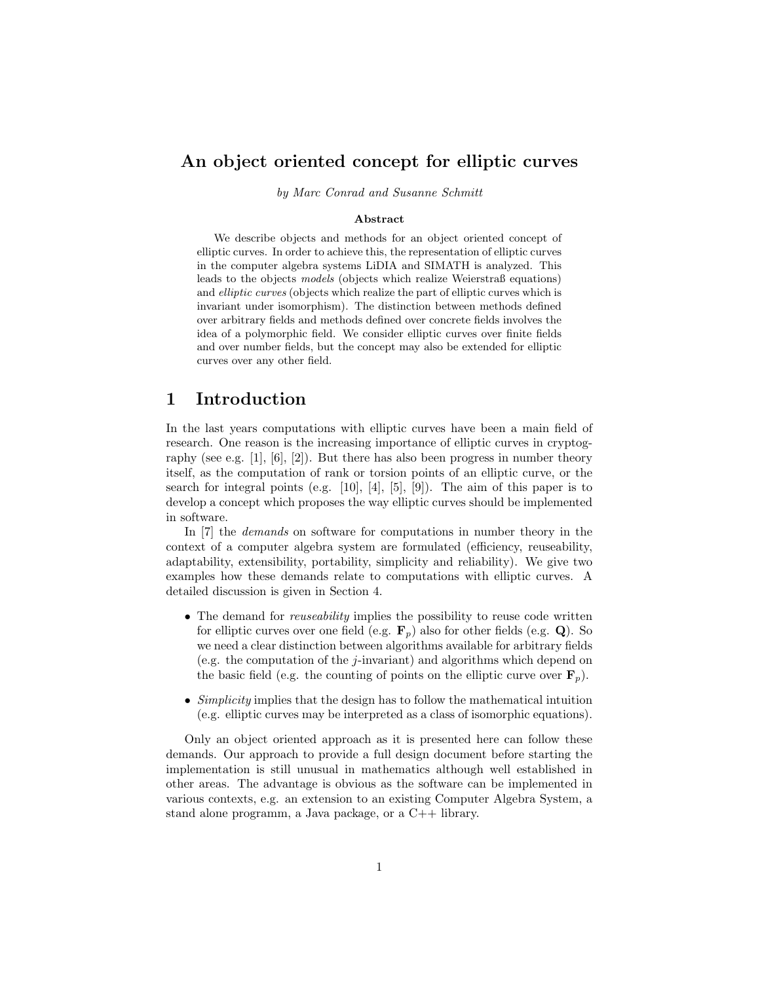## An object oriented concept for elliptic curves

by Marc Conrad and Susanne Schmitt

#### Abstract

We describe objects and methods for an object oriented concept of elliptic curves. In order to achieve this, the representation of elliptic curves in the computer algebra systems LiDIA and SIMATH is analyzed. This leads to the objects models (objects which realize Weierstraß equations) and elliptic curves (objects which realize the part of elliptic curves which is invariant under isomorphism). The distinction between methods defined over arbitrary fields and methods defined over concrete fields involves the idea of a polymorphic field. We consider elliptic curves over finite fields and over number fields, but the concept may also be extended for elliptic curves over any other field.

### 1 Introduction

In the last years computations with elliptic curves have been a main field of research. One reason is the increasing importance of elliptic curves in cryptography (see e.g. [1],  $[6]$ , [2]). But there has also been progress in number theory itself, as the computation of rank or torsion points of an elliptic curve, or the search for integral points (e.g.  $[10]$ ,  $[4]$ ,  $[5]$ ,  $[9]$ ). The aim of this paper is to develop a concept which proposes the way elliptic curves should be implemented in software.

In [7] the *demands* on software for computations in number theory in the context of a computer algebra system are formulated (efficiency, reuseability, adaptability, extensibility, portability, simplicity and reliability). We give two examples how these demands relate to computations with elliptic curves. A detailed discussion is given in Section 4.

- The demand for *reuseability* implies the possibility to reuse code written for elliptic curves over one field (e.g.  $\mathbf{F}_p$ ) also for other fields (e.g. Q). So we need a clear distinction between algorithms available for arbitrary fields (e.g. the computation of the j-invariant) and algorithms which depend on the basic field (e.g. the counting of points on the elliptic curve over  $\mathbf{F}_p$ ).
- Simplicity implies that the design has to follow the mathematical intuition (e.g. elliptic curves may be interpreted as a class of isomorphic equations).

Only an object oriented approach as it is presented here can follow these demands. Our approach to provide a full design document before starting the implementation is still unusual in mathematics although well established in other areas. The advantage is obvious as the software can be implemented in various contexts, e.g. an extension to an existing Computer Algebra System, a stand alone programm, a Java package, or a C++ library.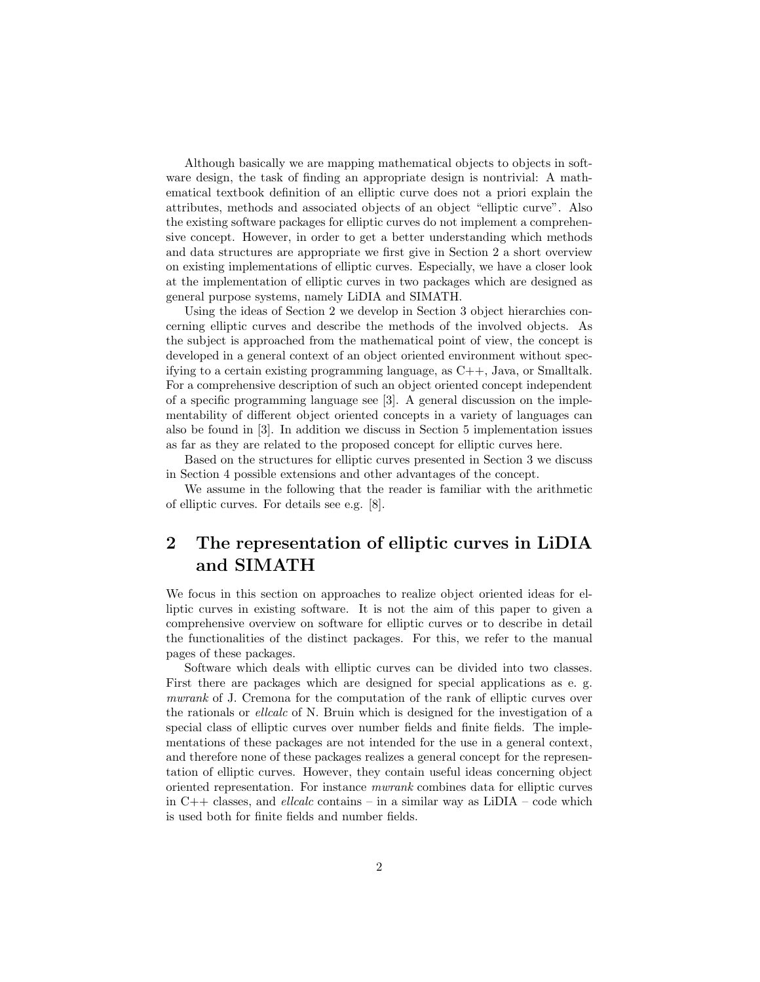Although basically we are mapping mathematical objects to objects in software design, the task of finding an appropriate design is nontrivial: A mathematical textbook definition of an elliptic curve does not a priori explain the attributes, methods and associated objects of an object "elliptic curve". Also the existing software packages for elliptic curves do not implement a comprehensive concept. However, in order to get a better understanding which methods and data structures are appropriate we first give in Section 2 a short overview on existing implementations of elliptic curves. Especially, we have a closer look at the implementation of elliptic curves in two packages which are designed as general purpose systems, namely LiDIA and SIMATH.

Using the ideas of Section 2 we develop in Section 3 object hierarchies concerning elliptic curves and describe the methods of the involved objects. As the subject is approached from the mathematical point of view, the concept is developed in a general context of an object oriented environment without specifying to a certain existing programming language, as C++, Java, or Smalltalk. For a comprehensive description of such an object oriented concept independent of a specific programming language see [3]. A general discussion on the implementability of different object oriented concepts in a variety of languages can also be found in [3]. In addition we discuss in Section 5 implementation issues as far as they are related to the proposed concept for elliptic curves here.

Based on the structures for elliptic curves presented in Section 3 we discuss in Section 4 possible extensions and other advantages of the concept.

We assume in the following that the reader is familiar with the arithmetic of elliptic curves. For details see e.g. [8].

# 2 The representation of elliptic curves in LiDIA and SIMATH

We focus in this section on approaches to realize object oriented ideas for elliptic curves in existing software. It is not the aim of this paper to given a comprehensive overview on software for elliptic curves or to describe in detail the functionalities of the distinct packages. For this, we refer to the manual pages of these packages.

Software which deals with elliptic curves can be divided into two classes. First there are packages which are designed for special applications as e. g. mwrank of J. Cremona for the computation of the rank of elliptic curves over the rationals or ellcalc of N. Bruin which is designed for the investigation of a special class of elliptic curves over number fields and finite fields. The implementations of these packages are not intended for the use in a general context, and therefore none of these packages realizes a general concept for the representation of elliptic curves. However, they contain useful ideas concerning object oriented representation. For instance mwrank combines data for elliptic curves in  $C++$  classes, and *ellcalc* contains – in a similar way as  $LiDIA$  – code which is used both for finite fields and number fields.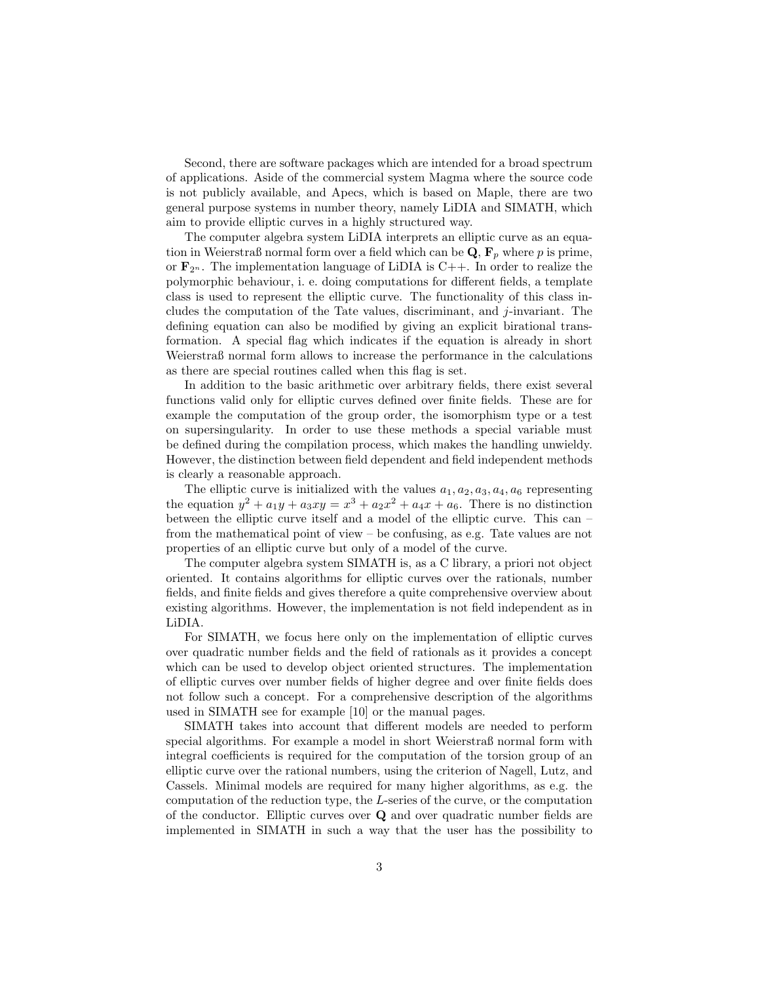Second, there are software packages which are intended for a broad spectrum of applications. Aside of the commercial system Magma where the source code is not publicly available, and Apecs, which is based on Maple, there are two general purpose systems in number theory, namely LiDIA and SIMATH, which aim to provide elliptic curves in a highly structured way.

The computer algebra system LiDIA interprets an elliptic curve as an equation in Weierstraß normal form over a field which can be  $\mathbf{Q}, \mathbf{F}_p$  where p is prime, or  $\mathbf{F}_{2^n}$ . The implementation language of LiDIA is C++. In order to realize the polymorphic behaviour, i. e. doing computations for different fields, a template class is used to represent the elliptic curve. The functionality of this class includes the computation of the Tate values, discriminant, and j-invariant. The defining equation can also be modified by giving an explicit birational transformation. A special flag which indicates if the equation is already in short Weierstraß normal form allows to increase the performance in the calculations as there are special routines called when this flag is set.

In addition to the basic arithmetic over arbitrary fields, there exist several functions valid only for elliptic curves defined over finite fields. These are for example the computation of the group order, the isomorphism type or a test on supersingularity. In order to use these methods a special variable must be defined during the compilation process, which makes the handling unwieldy. However, the distinction between field dependent and field independent methods is clearly a reasonable approach.

The elliptic curve is initialized with the values  $a_1, a_2, a_3, a_4, a_6$  representing the equation  $y^2 + a_1y + a_3xy = x^3 + a_2x^2 + a_4x + a_6$ . There is no distinction between the elliptic curve itself and a model of the elliptic curve. This can – from the mathematical point of view – be confusing, as e.g. Tate values are not properties of an elliptic curve but only of a model of the curve.

The computer algebra system SIMATH is, as a C library, a priori not object oriented. It contains algorithms for elliptic curves over the rationals, number fields, and finite fields and gives therefore a quite comprehensive overview about existing algorithms. However, the implementation is not field independent as in LiDIA.

For SIMATH, we focus here only on the implementation of elliptic curves over quadratic number fields and the field of rationals as it provides a concept which can be used to develop object oriented structures. The implementation of elliptic curves over number fields of higher degree and over finite fields does not follow such a concept. For a comprehensive description of the algorithms used in SIMATH see for example [10] or the manual pages.

SIMATH takes into account that different models are needed to perform special algorithms. For example a model in short Weierstraß normal form with integral coefficients is required for the computation of the torsion group of an elliptic curve over the rational numbers, using the criterion of Nagell, Lutz, and Cassels. Minimal models are required for many higher algorithms, as e.g. the computation of the reduction type, the L-series of the curve, or the computation of the conductor. Elliptic curves over Q and over quadratic number fields are implemented in SIMATH in such a way that the user has the possibility to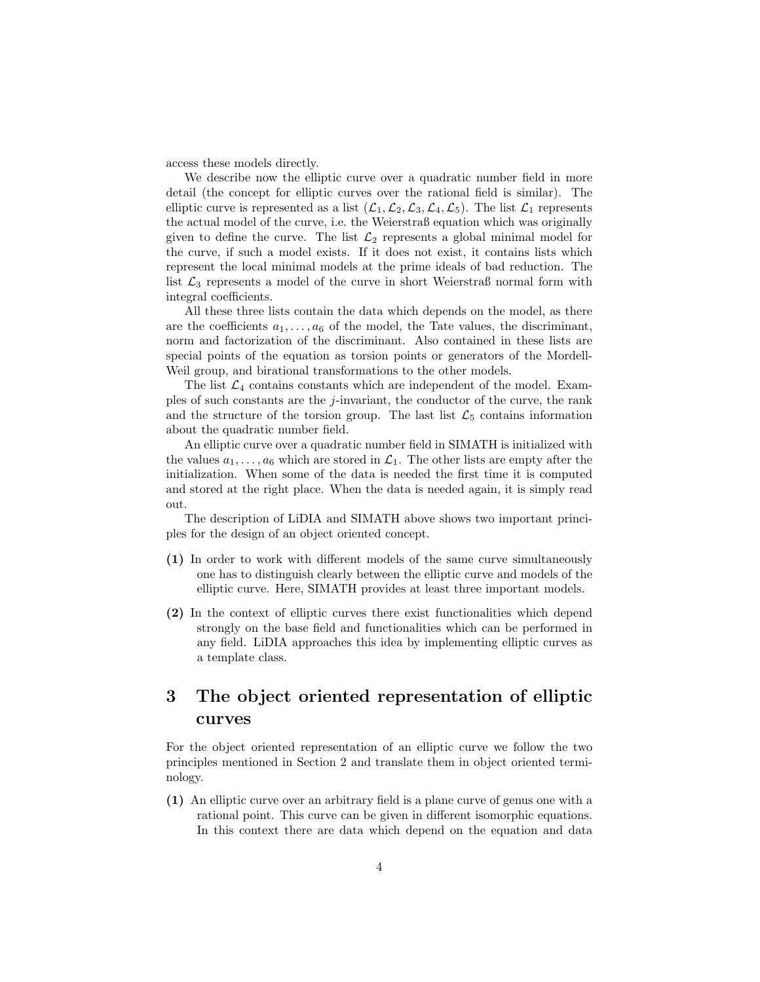access these models directly.

We describe now the elliptic curve over a quadratic number field in more detail (the concept for elliptic curves over the rational field is similar). The elliptic curve is represented as a list  $(\mathcal{L}_1,\mathcal{L}_2,\mathcal{L}_3,\mathcal{L}_4,\mathcal{L}_5)$ . The list  $\mathcal{L}_1$  represents the actual model of the curve, i.e. the Weierstraß equation which was originally given to define the curve. The list  $\mathcal{L}_2$  represents a global minimal model for the curve, if such a model exists. If it does not exist, it contains lists which represent the local minimal models at the prime ideals of bad reduction. The list  $\mathcal{L}_3$  represents a model of the curve in short Weierstraß normal form with integral coefficients.

All these three lists contain the data which depends on the model, as there are the coefficients  $a_1, \ldots, a_6$  of the model, the Tate values, the discriminant, norm and factorization of the discriminant. Also contained in these lists are special points of the equation as torsion points or generators of the Mordell-Weil group, and birational transformations to the other models.

The list  $\mathcal{L}_4$  contains constants which are independent of the model. Examples of such constants are the j-invariant, the conductor of the curve, the rank and the structure of the torsion group. The last list  $\mathcal{L}_5$  contains information about the quadratic number field.

An elliptic curve over a quadratic number field in SIMATH is initialized with the values  $a_1, \ldots, a_6$  which are stored in  $\mathcal{L}_1$ . The other lists are empty after the initialization. When some of the data is needed the first time it is computed and stored at the right place. When the data is needed again, it is simply read out.

The description of LiDIA and SIMATH above shows two important principles for the design of an object oriented concept.

- (1) In order to work with different models of the same curve simultaneously one has to distinguish clearly between the elliptic curve and models of the elliptic curve. Here, SIMATH provides at least three important models.
- (2) In the context of elliptic curves there exist functionalities which depend strongly on the base field and functionalities which can be performed in any field. LiDIA approaches this idea by implementing elliptic curves as a template class.

## 3 The object oriented representation of elliptic curves

For the object oriented representation of an elliptic curve we follow the two principles mentioned in Section 2 and translate them in object oriented terminology.

(1) An elliptic curve over an arbitrary field is a plane curve of genus one with a rational point. This curve can be given in different isomorphic equations. In this context there are data which depend on the equation and data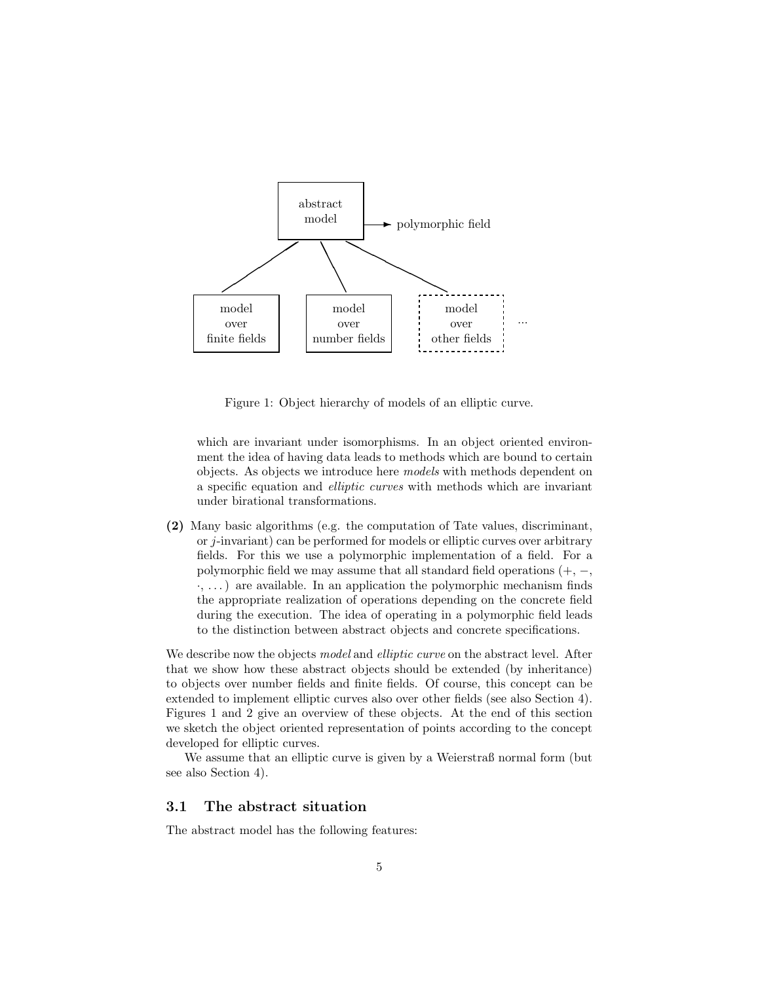

Figure 1: Object hierarchy of models of an elliptic curve.

which are invariant under isomorphisms. In an object oriented environment the idea of having data leads to methods which are bound to certain objects. As objects we introduce here models with methods dependent on a specific equation and elliptic curves with methods which are invariant under birational transformations.

(2) Many basic algorithms (e.g. the computation of Tate values, discriminant, or j-invariant) can be performed for models or elliptic curves over arbitrary fields. For this we use a polymorphic implementation of a field. For a polymorphic field we may assume that all standard field operations  $(+, -,$ ·, . . . ) are available. In an application the polymorphic mechanism finds the appropriate realization of operations depending on the concrete field during the execution. The idea of operating in a polymorphic field leads to the distinction between abstract objects and concrete specifications.

We describe now the objects model and elliptic curve on the abstract level. After that we show how these abstract objects should be extended (by inheritance) to objects over number fields and finite fields. Of course, this concept can be extended to implement elliptic curves also over other fields (see also Section 4). Figures 1 and 2 give an overview of these objects. At the end of this section we sketch the object oriented representation of points according to the concept developed for elliptic curves.

We assume that an elliptic curve is given by a Weierstraß normal form (but see also Section 4).

### 3.1 The abstract situation

The abstract model has the following features: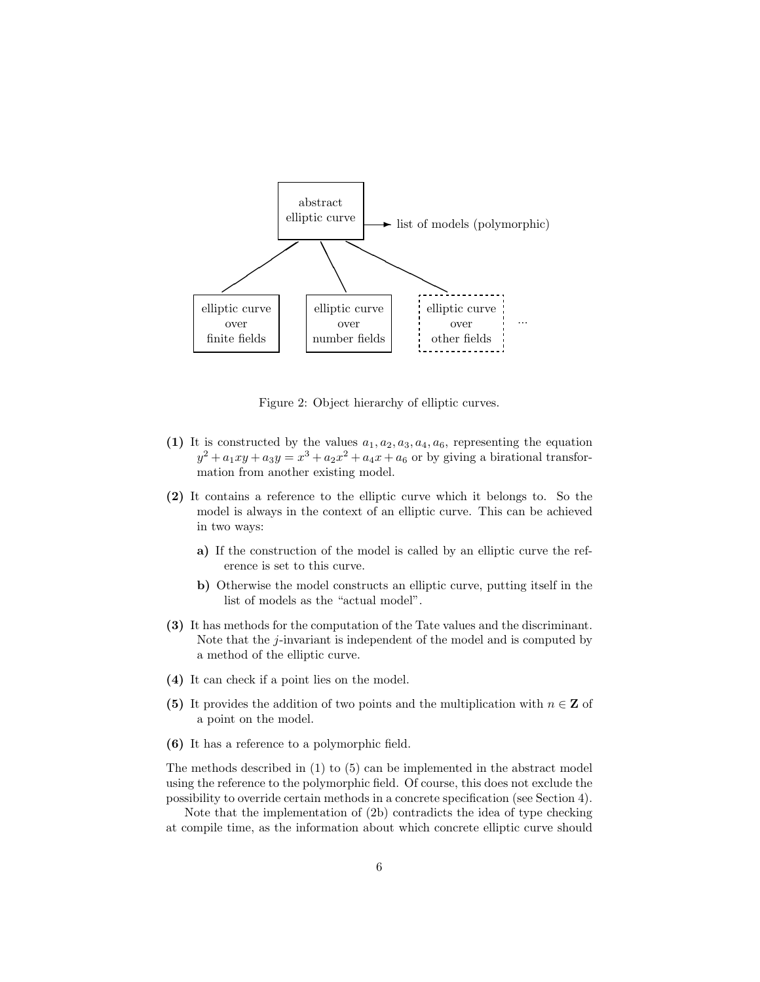

Figure 2: Object hierarchy of elliptic curves.

- (1) It is constructed by the values  $a_1, a_2, a_3, a_4, a_6$ , representing the equation  $y^2 + a_1xy + a_3y = x^3 + a_2x^2 + a_4x + a_6$  or by giving a birational transformation from another existing model.
- (2) It contains a reference to the elliptic curve which it belongs to. So the model is always in the context of an elliptic curve. This can be achieved in two ways:
	- a) If the construction of the model is called by an elliptic curve the reference is set to this curve.
	- b) Otherwise the model constructs an elliptic curve, putting itself in the list of models as the "actual model".
- (3) It has methods for the computation of the Tate values and the discriminant. Note that the  $j$ -invariant is independent of the model and is computed by a method of the elliptic curve.
- (4) It can check if a point lies on the model.
- (5) It provides the addition of two points and the multiplication with  $n \in \mathbb{Z}$  of a point on the model.
- (6) It has a reference to a polymorphic field.

The methods described in (1) to (5) can be implemented in the abstract model using the reference to the polymorphic field. Of course, this does not exclude the possibility to override certain methods in a concrete specification (see Section 4).

Note that the implementation of (2b) contradicts the idea of type checking at compile time, as the information about which concrete elliptic curve should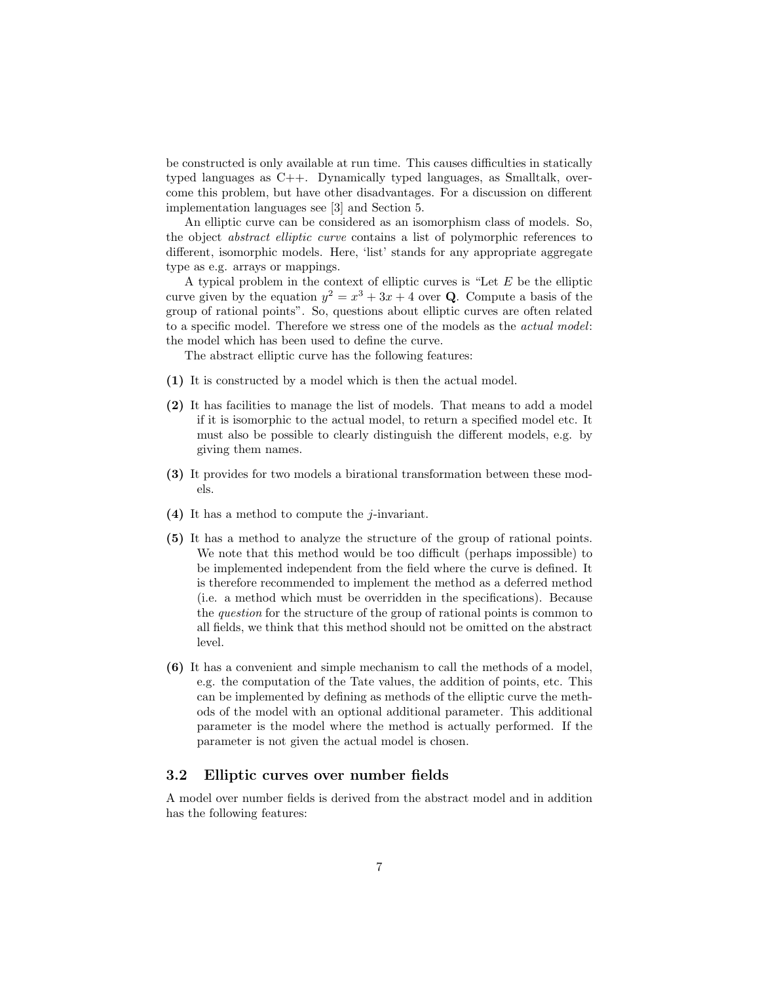be constructed is only available at run time. This causes difficulties in statically typed languages as C++. Dynamically typed languages, as Smalltalk, overcome this problem, but have other disadvantages. For a discussion on different implementation languages see [3] and Section 5.

An elliptic curve can be considered as an isomorphism class of models. So, the object abstract elliptic curve contains a list of polymorphic references to different, isomorphic models. Here, 'list' stands for any appropriate aggregate type as e.g. arrays or mappings.

A typical problem in the context of elliptic curves is "Let E be the elliptic curve given by the equation  $y^2 = x^3 + 3x + 4$  over **Q**. Compute a basis of the group of rational points". So, questions about elliptic curves are often related to a specific model. Therefore we stress one of the models as the actual model: the model which has been used to define the curve.

The abstract elliptic curve has the following features:

- (1) It is constructed by a model which is then the actual model.
- (2) It has facilities to manage the list of models. That means to add a model if it is isomorphic to the actual model, to return a specified model etc. It must also be possible to clearly distinguish the different models, e.g. by giving them names.
- (3) It provides for two models a birational transformation between these models.
- (4) It has a method to compute the  $i$ -invariant.
- (5) It has a method to analyze the structure of the group of rational points. We note that this method would be too difficult (perhaps impossible) to be implemented independent from the field where the curve is defined. It is therefore recommended to implement the method as a deferred method (i.e. a method which must be overridden in the specifications). Because the question for the structure of the group of rational points is common to all fields, we think that this method should not be omitted on the abstract level.
- (6) It has a convenient and simple mechanism to call the methods of a model, e.g. the computation of the Tate values, the addition of points, etc. This can be implemented by defining as methods of the elliptic curve the methods of the model with an optional additional parameter. This additional parameter is the model where the method is actually performed. If the parameter is not given the actual model is chosen.

#### 3.2 Elliptic curves over number fields

A model over number fields is derived from the abstract model and in addition has the following features: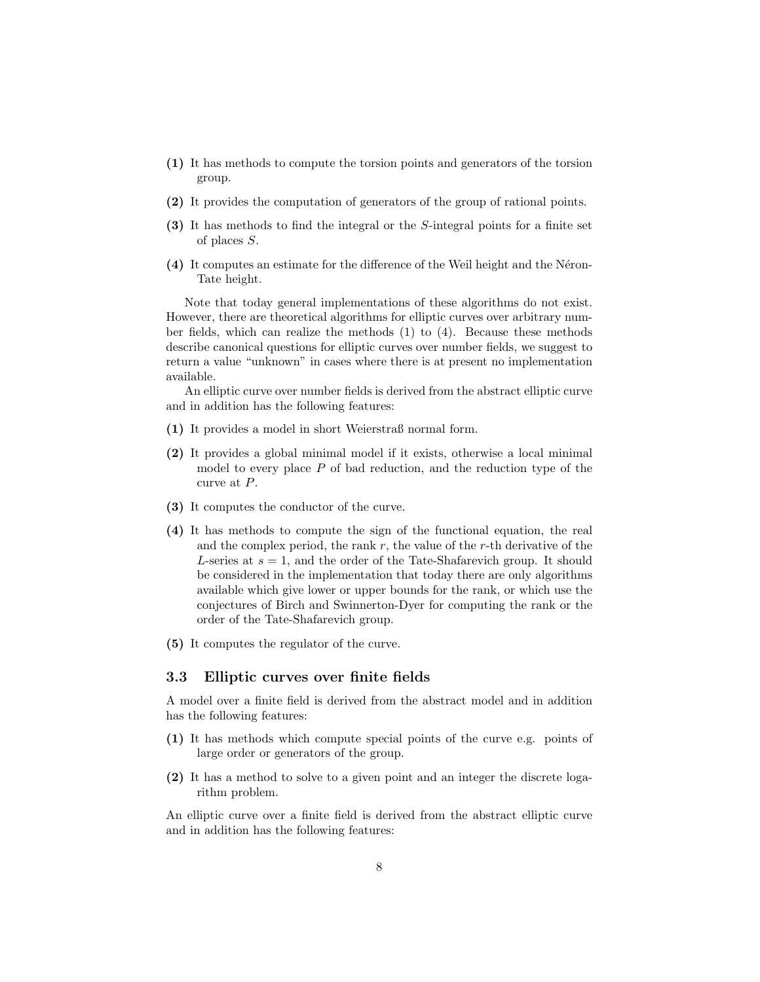- (1) It has methods to compute the torsion points and generators of the torsion group.
- (2) It provides the computation of generators of the group of rational points.
- (3) It has methods to find the integral or the S-integral points for a finite set of places S.
- (4) It computes an estimate for the difference of the Weil height and the N´eron-Tate height.

Note that today general implementations of these algorithms do not exist. However, there are theoretical algorithms for elliptic curves over arbitrary number fields, which can realize the methods (1) to (4). Because these methods describe canonical questions for elliptic curves over number fields, we suggest to return a value "unknown" in cases where there is at present no implementation available.

An elliptic curve over number fields is derived from the abstract elliptic curve and in addition has the following features:

- (1) It provides a model in short Weierstraß normal form.
- (2) It provides a global minimal model if it exists, otherwise a local minimal model to every place  $P$  of bad reduction, and the reduction type of the curve at P.
- (3) It computes the conductor of the curve.
- (4) It has methods to compute the sign of the functional equation, the real and the complex period, the rank  $r$ , the value of the  $r$ -th derivative of the L-series at  $s = 1$ , and the order of the Tate-Shafarevich group. It should be considered in the implementation that today there are only algorithms available which give lower or upper bounds for the rank, or which use the conjectures of Birch and Swinnerton-Dyer for computing the rank or the order of the Tate-Shafarevich group.
- (5) It computes the regulator of the curve.

#### 3.3 Elliptic curves over finite fields

A model over a finite field is derived from the abstract model and in addition has the following features:

- (1) It has methods which compute special points of the curve e.g. points of large order or generators of the group.
- (2) It has a method to solve to a given point and an integer the discrete logarithm problem.

An elliptic curve over a finite field is derived from the abstract elliptic curve and in addition has the following features: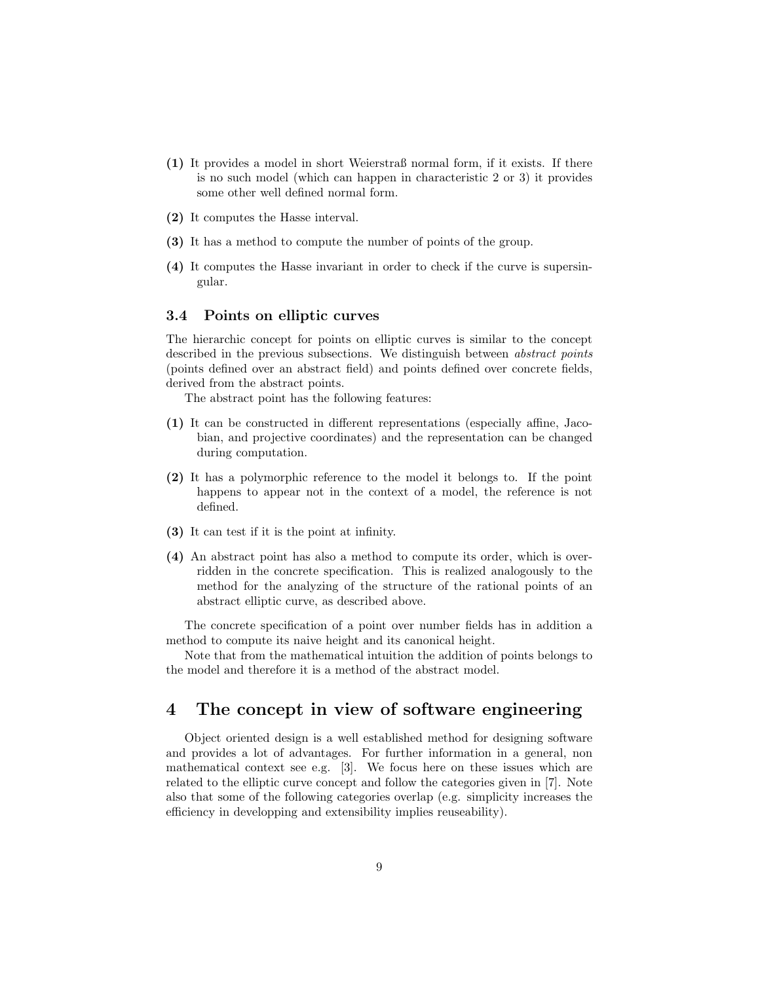- (1) It provides a model in short Weierstraß normal form, if it exists. If there is no such model (which can happen in characteristic 2 or 3) it provides some other well defined normal form.
- (2) It computes the Hasse interval.
- (3) It has a method to compute the number of points of the group.
- (4) It computes the Hasse invariant in order to check if the curve is supersingular.

#### 3.4 Points on elliptic curves

The hierarchic concept for points on elliptic curves is similar to the concept described in the previous subsections. We distinguish between *abstract points* (points defined over an abstract field) and points defined over concrete fields, derived from the abstract points.

The abstract point has the following features:

- (1) It can be constructed in different representations (especially affine, Jacobian, and projective coordinates) and the representation can be changed during computation.
- (2) It has a polymorphic reference to the model it belongs to. If the point happens to appear not in the context of a model, the reference is not defined.
- (3) It can test if it is the point at infinity.
- (4) An abstract point has also a method to compute its order, which is overridden in the concrete specification. This is realized analogously to the method for the analyzing of the structure of the rational points of an abstract elliptic curve, as described above.

The concrete specification of a point over number fields has in addition a method to compute its naive height and its canonical height.

Note that from the mathematical intuition the addition of points belongs to the model and therefore it is a method of the abstract model.

## 4 The concept in view of software engineering

Object oriented design is a well established method for designing software and provides a lot of advantages. For further information in a general, non mathematical context see e.g. [3]. We focus here on these issues which are related to the elliptic curve concept and follow the categories given in [7]. Note also that some of the following categories overlap (e.g. simplicity increases the efficiency in developping and extensibility implies reuseability).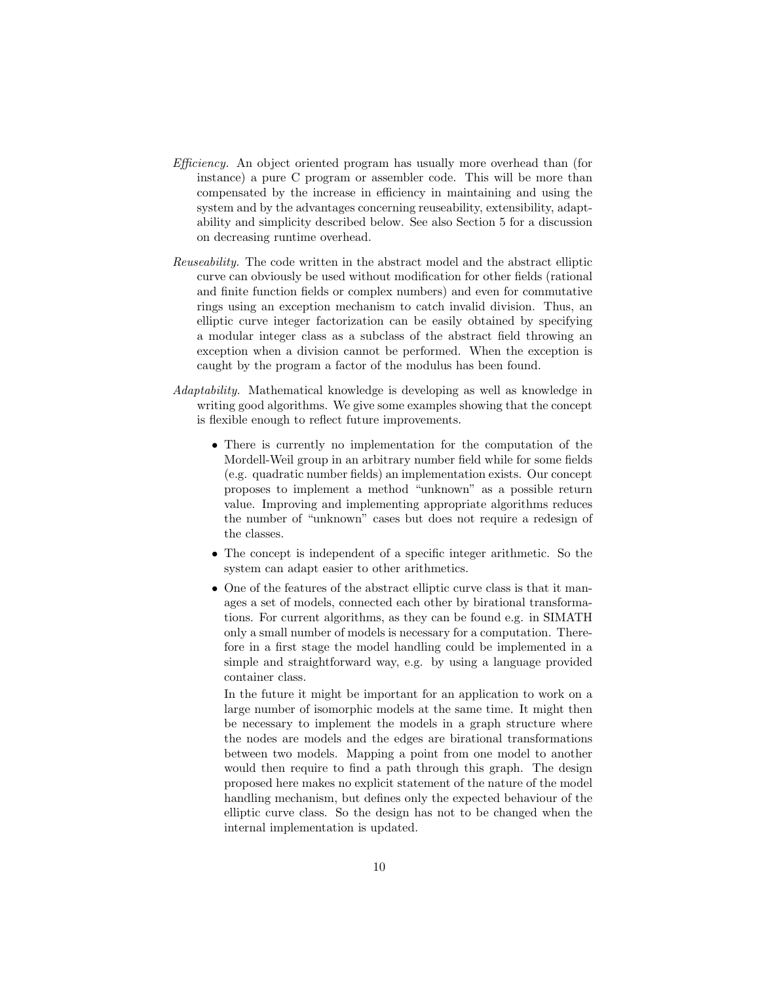- Efficiency. An object oriented program has usually more overhead than (for instance) a pure C program or assembler code. This will be more than compensated by the increase in efficiency in maintaining and using the system and by the advantages concerning reuseability, extensibility, adaptability and simplicity described below. See also Section 5 for a discussion on decreasing runtime overhead.
- Reuseability. The code written in the abstract model and the abstract elliptic curve can obviously be used without modification for other fields (rational and finite function fields or complex numbers) and even for commutative rings using an exception mechanism to catch invalid division. Thus, an elliptic curve integer factorization can be easily obtained by specifying a modular integer class as a subclass of the abstract field throwing an exception when a division cannot be performed. When the exception is caught by the program a factor of the modulus has been found.
- Adaptability. Mathematical knowledge is developing as well as knowledge in writing good algorithms. We give some examples showing that the concept is flexible enough to reflect future improvements.
	- There is currently no implementation for the computation of the Mordell-Weil group in an arbitrary number field while for some fields (e.g. quadratic number fields) an implementation exists. Our concept proposes to implement a method "unknown" as a possible return value. Improving and implementing appropriate algorithms reduces the number of "unknown" cases but does not require a redesign of the classes.
	- The concept is independent of a specific integer arithmetic. So the system can adapt easier to other arithmetics.
	- One of the features of the abstract elliptic curve class is that it manages a set of models, connected each other by birational transformations. For current algorithms, as they can be found e.g. in SIMATH only a small number of models is necessary for a computation. Therefore in a first stage the model handling could be implemented in a simple and straightforward way, e.g. by using a language provided container class.

In the future it might be important for an application to work on a large number of isomorphic models at the same time. It might then be necessary to implement the models in a graph structure where the nodes are models and the edges are birational transformations between two models. Mapping a point from one model to another would then require to find a path through this graph. The design proposed here makes no explicit statement of the nature of the model handling mechanism, but defines only the expected behaviour of the elliptic curve class. So the design has not to be changed when the internal implementation is updated.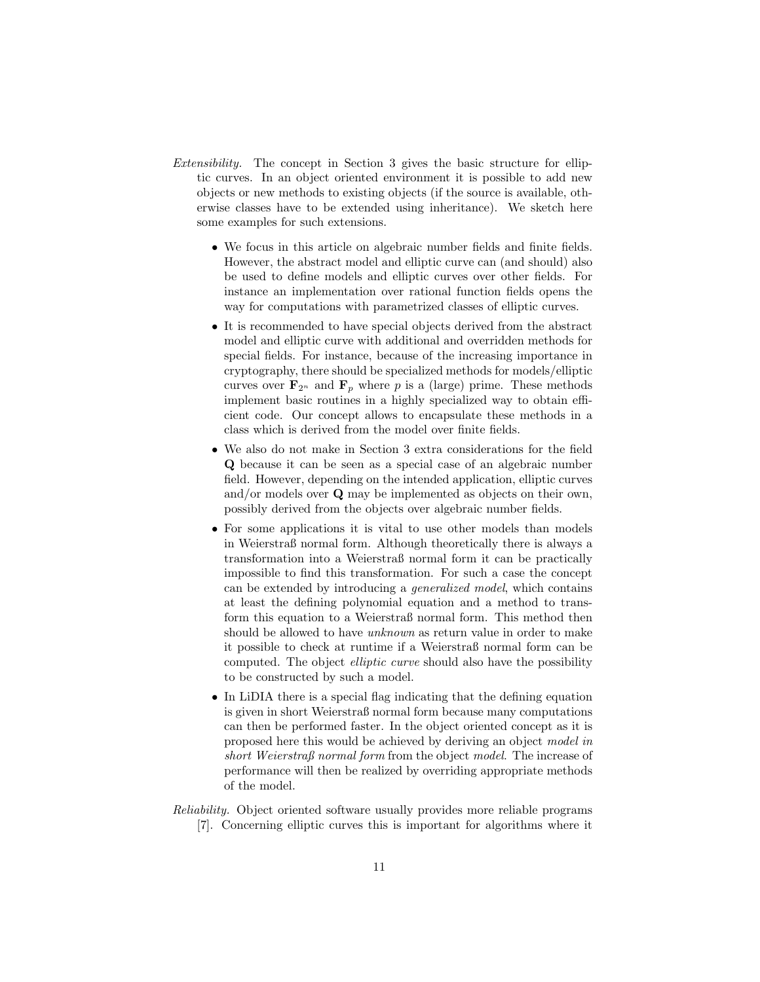- Extensibility. The concept in Section 3 gives the basic structure for elliptic curves. In an object oriented environment it is possible to add new objects or new methods to existing objects (if the source is available, otherwise classes have to be extended using inheritance). We sketch here some examples for such extensions.
	- We focus in this article on algebraic number fields and finite fields. However, the abstract model and elliptic curve can (and should) also be used to define models and elliptic curves over other fields. For instance an implementation over rational function fields opens the way for computations with parametrized classes of elliptic curves.
	- It is recommended to have special objects derived from the abstract model and elliptic curve with additional and overridden methods for special fields. For instance, because of the increasing importance in cryptography, there should be specialized methods for models/elliptic curves over  $\mathbf{F}_{2^n}$  and  $\mathbf{F}_p$  where p is a (large) prime. These methods implement basic routines in a highly specialized way to obtain efficient code. Our concept allows to encapsulate these methods in a class which is derived from the model over finite fields.
	- We also do not make in Section 3 extra considerations for the field Q because it can be seen as a special case of an algebraic number field. However, depending on the intended application, elliptic curves and/or models over Q may be implemented as objects on their own, possibly derived from the objects over algebraic number fields.
	- For some applications it is vital to use other models than models in Weierstraß normal form. Although theoretically there is always a transformation into a Weierstraß normal form it can be practically impossible to find this transformation. For such a case the concept can be extended by introducing a generalized model, which contains at least the defining polynomial equation and a method to transform this equation to a Weierstraß normal form. This method then should be allowed to have unknown as return value in order to make it possible to check at runtime if a Weierstraß normal form can be computed. The object elliptic curve should also have the possibility to be constructed by such a model.
	- In LiDIA there is a special flag indicating that the defining equation is given in short Weierstraß normal form because many computations can then be performed faster. In the object oriented concept as it is proposed here this would be achieved by deriving an object model in short Weierstraß normal form from the object model. The increase of performance will then be realized by overriding appropriate methods of the model.
- Reliability. Object oriented software usually provides more reliable programs [7]. Concerning elliptic curves this is important for algorithms where it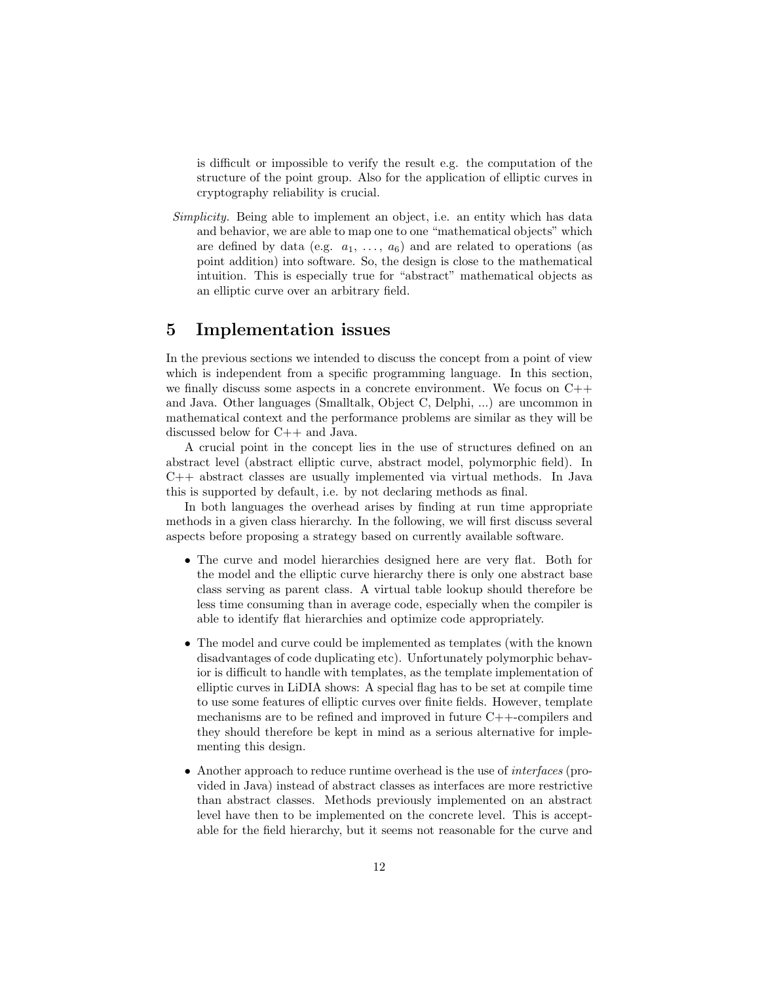is difficult or impossible to verify the result e.g. the computation of the structure of the point group. Also for the application of elliptic curves in cryptography reliability is crucial.

Simplicity. Being able to implement an object, i.e. an entity which has data and behavior, we are able to map one to one "mathematical objects" which are defined by data (e.g.  $a_1, \ldots, a_6$ ) and are related to operations (as point addition) into software. So, the design is close to the mathematical intuition. This is especially true for "abstract" mathematical objects as an elliptic curve over an arbitrary field.

## 5 Implementation issues

In the previous sections we intended to discuss the concept from a point of view which is independent from a specific programming language. In this section, we finally discuss some aspects in a concrete environment. We focus on  $C++$ and Java. Other languages (Smalltalk, Object C, Delphi, ...) are uncommon in mathematical context and the performance problems are similar as they will be discussed below for C++ and Java.

A crucial point in the concept lies in the use of structures defined on an abstract level (abstract elliptic curve, abstract model, polymorphic field). In C++ abstract classes are usually implemented via virtual methods. In Java this is supported by default, i.e. by not declaring methods as final.

In both languages the overhead arises by finding at run time appropriate methods in a given class hierarchy. In the following, we will first discuss several aspects before proposing a strategy based on currently available software.

- The curve and model hierarchies designed here are very flat. Both for the model and the elliptic curve hierarchy there is only one abstract base class serving as parent class. A virtual table lookup should therefore be less time consuming than in average code, especially when the compiler is able to identify flat hierarchies and optimize code appropriately.
- The model and curve could be implemented as templates (with the known disadvantages of code duplicating etc). Unfortunately polymorphic behavior is difficult to handle with templates, as the template implementation of elliptic curves in LiDIA shows: A special flag has to be set at compile time to use some features of elliptic curves over finite fields. However, template mechanisms are to be refined and improved in future C++-compilers and they should therefore be kept in mind as a serious alternative for implementing this design.
- Another approach to reduce runtime overhead is the use of *interfaces* (provided in Java) instead of abstract classes as interfaces are more restrictive than abstract classes. Methods previously implemented on an abstract level have then to be implemented on the concrete level. This is acceptable for the field hierarchy, but it seems not reasonable for the curve and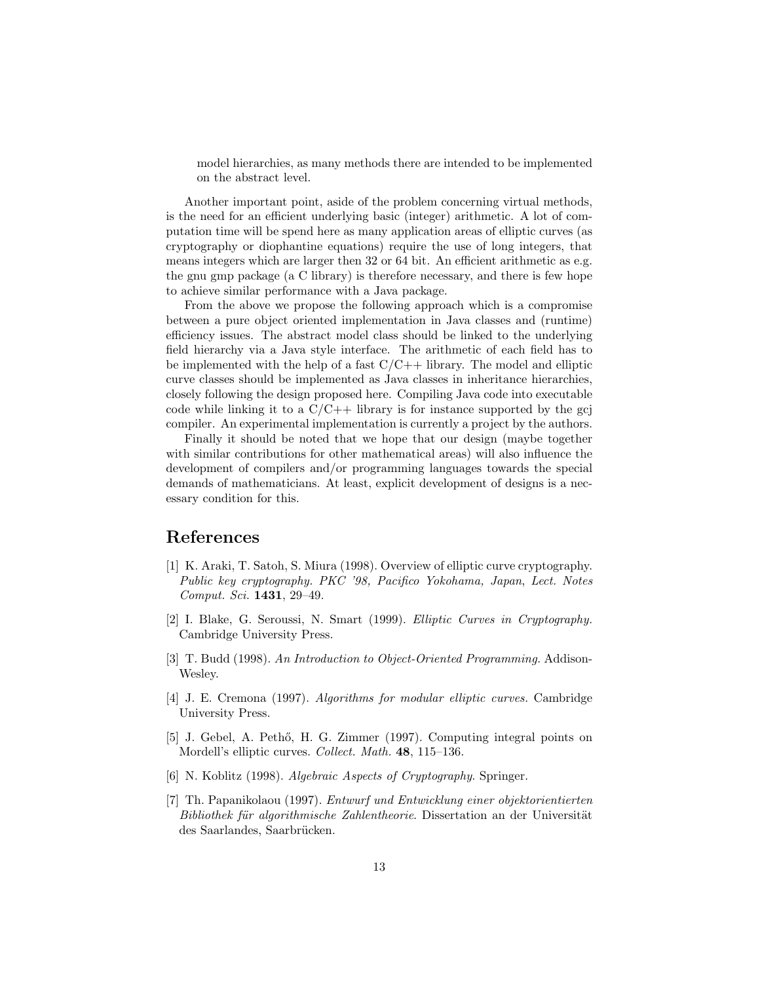model hierarchies, as many methods there are intended to be implemented on the abstract level.

Another important point, aside of the problem concerning virtual methods, is the need for an efficient underlying basic (integer) arithmetic. A lot of computation time will be spend here as many application areas of elliptic curves (as cryptography or diophantine equations) require the use of long integers, that means integers which are larger then 32 or 64 bit. An efficient arithmetic as e.g. the gnu gmp package (a C library) is therefore necessary, and there is few hope to achieve similar performance with a Java package.

From the above we propose the following approach which is a compromise between a pure object oriented implementation in Java classes and (runtime) efficiency issues. The abstract model class should be linked to the underlying field hierarchy via a Java style interface. The arithmetic of each field has to be implemented with the help of a fast  $C/C++$  library. The model and elliptic curve classes should be implemented as Java classes in inheritance hierarchies, closely following the design proposed here. Compiling Java code into executable code while linking it to a  $C/C++$  library is for instance supported by the gcj compiler. An experimental implementation is currently a project by the authors.

Finally it should be noted that we hope that our design (maybe together with similar contributions for other mathematical areas) will also influence the development of compilers and/or programming languages towards the special demands of mathematicians. At least, explicit development of designs is a necessary condition for this.

## References

- [1] K. Araki, T. Satoh, S. Miura (1998). Overview of elliptic curve cryptography. Public key cryptography. PKC '98, Pacifico Yokohama, Japan, Lect. Notes Comput. Sci. 1431, 29–49.
- [2] I. Blake, G. Seroussi, N. Smart (1999). Elliptic Curves in Cryptography. Cambridge University Press.
- [3] T. Budd (1998). An Introduction to Object-Oriented Programming. Addison-Wesley.
- [4] J. E. Cremona (1997). Algorithms for modular elliptic curves. Cambridge University Press.
- [5] J. Gebel, A. Pethő, H. G. Zimmer (1997). Computing integral points on Mordell's elliptic curves. Collect. Math. 48, 115–136.
- [6] N. Koblitz (1998). Algebraic Aspects of Cryptography. Springer.
- [7] Th. Papanikolaou (1997). Entwurf und Entwicklung einer objektorientierten Bibliothek für algorithmische Zahlentheorie. Dissertation an der Universität des Saarlandes, Saarbrücken.